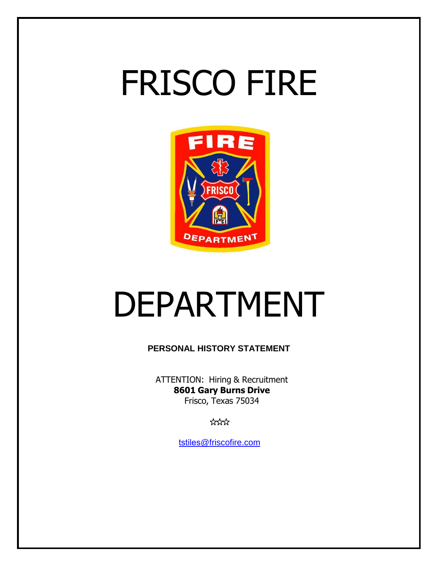# FRISCO FIRE



## DEPARTMENT

**PERSONAL HISTORY STATEMENT**

ATTENTION: Hiring & Recruitment **8601 Gary Burns Drive** Frisco, Texas 75034

 $x^2$ 

tstiles[@friscofire.com](mailto:glagaly@friscofire.com)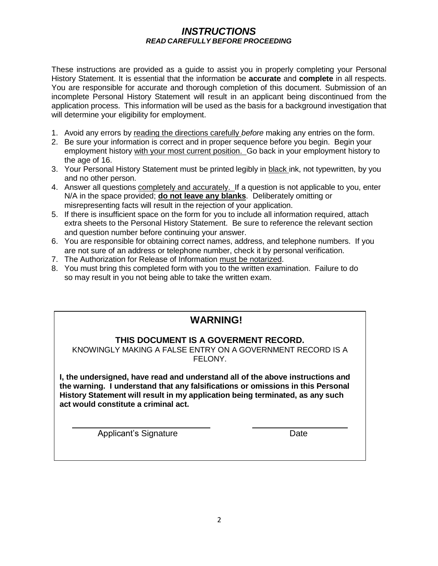#### *INSTRUCTIONS READ CAREFULLY BEFORE PROCEEDING*

These instructions are provided as a guide to assist you in properly completing your Personal History Statement. It is essential that the information be **accurate** and **complete** in all respects. You are responsible for accurate and thorough completion of this document. Submission of an incomplete Personal History Statement will result in an applicant being discontinued from the application process. This information will be used as the basis for a background investigation that will determine your eligibility for employment.

- 1. Avoid any errors by reading the directions carefully *before* making any entries on the form.
- 2. Be sure your information is correct and in proper sequence before you begin. Begin your employment history with your most current position. Go back in your employment history to the age of 16.
- 3. Your Personal History Statement must be printed legibly in black ink, not typewritten, by you and no other person.
- 4. Answer all questions completely and accurately. If a question is not applicable to you, enter N/A in the space provided; **do not leave any blanks**. Deliberately omitting or misrepresenting facts will result in the rejection of your application.
- 5. If there is insufficient space on the form for you to include all information required, attach extra sheets to the Personal History Statement. Be sure to reference the relevant section and question number before continuing your answer.
- 6. You are responsible for obtaining correct names, address, and telephone numbers. If you are not sure of an address or telephone number, check it by personal verification.
- 7. The Authorization for Release of Information must be notarized.
- 8. You must bring this completed form with you to the written examination. Failure to do so may result in you not being able to take the written exam.

## **WARNING!**

#### **THIS DOCUMENT IS A GOVERMENT RECORD.**

KNOWINGLY MAKING A FALSE ENTRY ON A GOVERNMENT RECORD IS A FELONY.

**I, the undersigned, have read and understand all of the above instructions and the warning. I understand that any falsifications or omissions in this Personal History Statement will result in my application being terminated, as any such act would constitute a criminal act.**

Applicant's Signature Date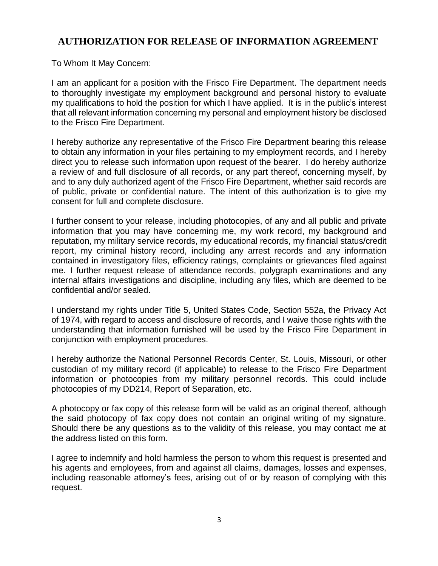## **AUTHORIZATION FOR RELEASE OF INFORMATION AGREEMENT**

To Whom It May Concern:

I am an applicant for a position with the Frisco Fire Department. The department needs to thoroughly investigate my employment background and personal history to evaluate my qualifications to hold the position for which I have applied. It is in the public's interest that all relevant information concerning my personal and employment history be disclosed to the Frisco Fire Department.

I hereby authorize any representative of the Frisco Fire Department bearing this release to obtain any information in your files pertaining to my employment records, and I hereby direct you to release such information upon request of the bearer. I do hereby authorize a review of and full disclosure of all records, or any part thereof, concerning myself, by and to any duly authorized agent of the Frisco Fire Department, whether said records are of public, private or confidential nature. The intent of this authorization is to give my consent for full and complete disclosure.

I further consent to your release, including photocopies, of any and all public and private information that you may have concerning me, my work record, my background and reputation, my military service records, my educational records, my financial status/credit report, my criminal history record, including any arrest records and any information contained in investigatory files, efficiency ratings, complaints or grievances filed against me. I further request release of attendance records, polygraph examinations and any internal affairs investigations and discipline, including any files, which are deemed to be confidential and/or sealed.

I understand my rights under Title 5, United States Code, Section 552a, the Privacy Act of 1974, with regard to access and disclosure of records, and I waive those rights with the understanding that information furnished will be used by the Frisco Fire Department in conjunction with employment procedures.

I hereby authorize the National Personnel Records Center, St. Louis, Missouri, or other custodian of my military record (if applicable) to release to the Frisco Fire Department information or photocopies from my military personnel records. This could include photocopies of my DD214, Report of Separation, etc.

A photocopy or fax copy of this release form will be valid as an original thereof, although the said photocopy of fax copy does not contain an original writing of my signature. Should there be any questions as to the validity of this release, you may contact me at the address listed on this form.

I agree to indemnify and hold harmless the person to whom this request is presented and his agents and employees, from and against all claims, damages, losses and expenses, including reasonable attorney's fees, arising out of or by reason of complying with this request.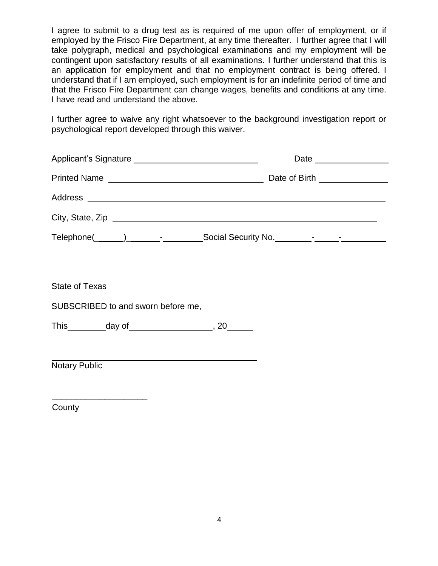I agree to submit to a drug test as is required of me upon offer of employment, or if employed by the Frisco Fire Department, at any time thereafter. I further agree that I will take polygraph, medical and psychological examinations and my employment will be contingent upon satisfactory results of all examinations. I further understand that this is an application for employment and that no employment contract is being offered. I understand that if I am employed, such employment is for an indefinite period of time and that the Frisco Fire Department can change wages, benefits and conditions at any time. I have read and understand the above.

I further agree to waive any right whatsoever to the background investigation report or psychological report developed through this waiver.

| Printed Name                        | Date of Birth ________________ |
|-------------------------------------|--------------------------------|
|                                     |                                |
|                                     |                                |
| $\text{Telephone}(\_\_\_\_\_\_\_\_$ |                                |

State of Texas

SUBSCRIBED to and sworn before me,

This  $day of$  , 20

Notary Public

\_\_\_\_\_\_\_\_\_\_\_\_\_\_\_\_\_\_\_\_

**County**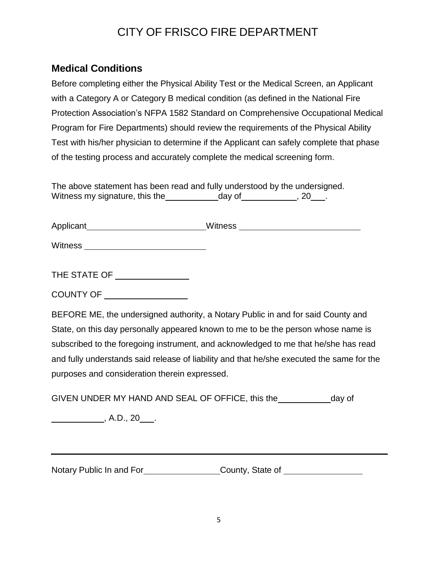## CITY OF FRISCO FIRE DEPARTMENT

## **Medical Conditions**

Before completing either the Physical Ability Test or the Medical Screen, an Applicant with a Category A or Category B medical condition (as defined in the National Fire Protection Association's NFPA 1582 Standard on Comprehensive Occupational Medical Program for Fire Departments) should review the requirements of the Physical Ability Test with his/her physician to determine if the Applicant can safely complete that phase of the testing process and accurately complete the medical screening form.

The above statement has been read and fully understood by the undersigned. Witness my signature, this the day of 1.1 and 20 ...

| <b>Applicant</b> | <b>Witness</b> |
|------------------|----------------|
|------------------|----------------|

Witness **Witness** 

THE STATE OF

COUNTY OF

BEFORE ME, the undersigned authority, a Notary Public in and for said County and State, on this day personally appeared known to me to be the person whose name is subscribed to the foregoing instrument, and acknowledged to me that he/she has read and fully understands said release of liability and that he/she executed the same for the purposes and consideration therein expressed.

GIVEN UNDER MY HAND AND SEAL OF OFFICE, this the day of

 $\overline{\phantom{a}}$ , A.D., 20  $\overline{\phantom{a}}$ .

Notary Public In and For\_\_\_\_\_\_\_\_\_\_\_\_\_\_\_\_\_\_County, State of \_\_\_\_\_\_\_\_\_\_\_\_\_\_\_\_\_\_\_\_\_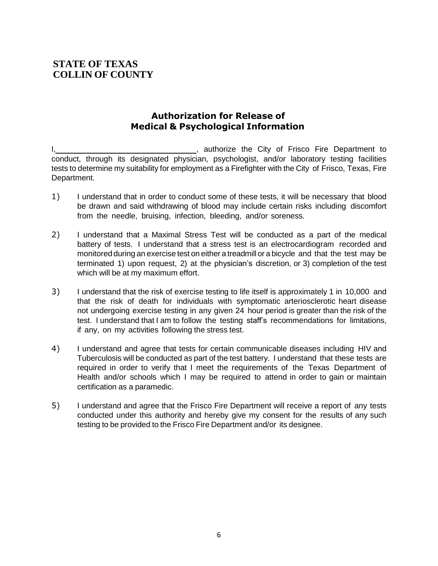## **STATE OF TEXAS COLLIN OF COUNTY**

## **Authorization for Release of Medical & Psychological Information**

\_\_, authorize the City of Frisco Fire Department to conduct, through its designated physician, psychologist, and/or laboratory testing facilities tests to determine my suitability for employment as a Firefighter with the City of Frisco, Texas, Fire Department.

- 1) I understand that in order to conduct some of these tests, it will be necessary that blood be drawn and said withdrawing of blood may include certain risks including discomfort from the needle, bruising, infection, bleeding, and/or soreness.
- 2) I understand that a Maximal Stress Test will be conducted as a part of the medical battery of tests. I understand that a stress test is an electrocardiogram recorded and monitored during an exercise test on either a treadmill or a bicycle and that the test may be terminated 1) upon request, 2) at the physician's discretion, or 3) completion of the test which will be at my maximum effort.
- 3) I understand that the risk of exercise testing to life itself is approximately 1 in 10,000 and that the risk of death for individuals with symptomatic arteriosclerotic heart disease not undergoing exercise testing in any given 24 hour period is greater than the risk of the test. I understand that I am to follow the testing staff's recommendations for limitations, if any, on my activities following the stress test.
- 4) I understand and agree that tests for certain communicable diseases including HIV and Tuberculosis will be conducted as part of the test battery. I understand that these tests are required in order to verify that I meet the requirements of the Texas Department of Health and/or schools which I may be required to attend in order to gain or maintain certification as a paramedic.
- 5) I understand and agree that the Frisco Fire Department will receive a report of any tests conducted under this authority and hereby give my consent for the results of any such testing to be provided to the Frisco Fire Department and/or its designee.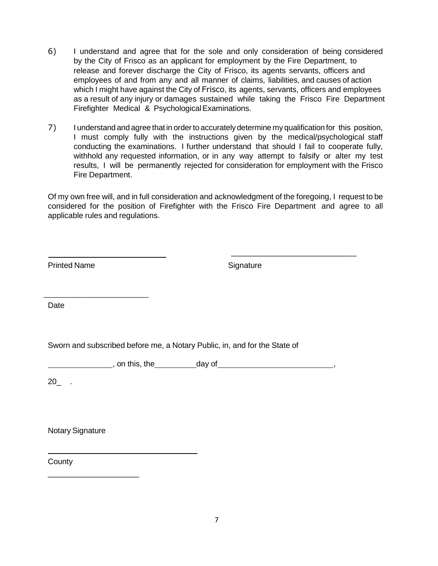- 6) I understand and agree that for the sole and only consideration of being considered by the City of Frisco as an applicant for employment by the Fire Department, to release and forever discharge the City of Frisco, its agents servants, officers and employees of and from any and all manner of claims, liabilities, and causes of action which I might have against the City of Frisco, its agents, servants, officers and employees as a result of any injury or damages sustained while taking the Frisco Fire Department Firefighter Medical & Psychological Examinations.
- 7) I understand and agree that in orderto accuratelydetermine my qualification for this position, I must comply fully with the instructions given by the medical/psychological staff conducting the examinations. I further understand that should I fail to cooperate fully, withhold any requested information, or in any way attempt to falsify or alter my test results, I will be permanently rejected for consideration for employment with the Frisco Fire Department.

Of my own free will, and in full consideration and acknowledgment of the foregoing, I request to be considered for the position of Firefighter with the Frisco Fire Department and agree to all applicable rules and regulations.

\_\_\_\_\_\_\_\_\_\_\_\_\_\_\_\_\_\_\_\_\_\_

Signature

\_\_\_\_\_\_\_\_\_\_\_\_\_\_\_\_\_\_\_\_\_\_\_

Date

Sworn and subscribed before me, a Notary Public, in, and for the State of

 $\blacksquare$ , on this, the  $\blacksquare$  day of  $\blacksquare$ ,  $\blacksquare$ ,  $\blacksquare$ ,  $\blacksquare$ ,  $\blacksquare$ ,  $\blacksquare$ ,  $\blacksquare$ ,  $\blacksquare$ ,  $\blacksquare$ ,  $\blacksquare$ ,  $\blacksquare$ ,  $\blacksquare$ ,  $\blacksquare$ ,  $\blacksquare$ ,  $\blacksquare$ ,  $\blacksquare$ ,  $\blacksquare$ ,  $\blacksquare$ ,  $\blacksquare$ ,  $\blacksquare$ ,  $\blacksquare$ ,  $\blacksquare$ ,  $\blacksquare$ ,  $\$ 

20\_ .

Notary Signature

\_\_\_\_\_\_\_\_\_\_\_\_\_\_\_\_\_\_\_\_\_

County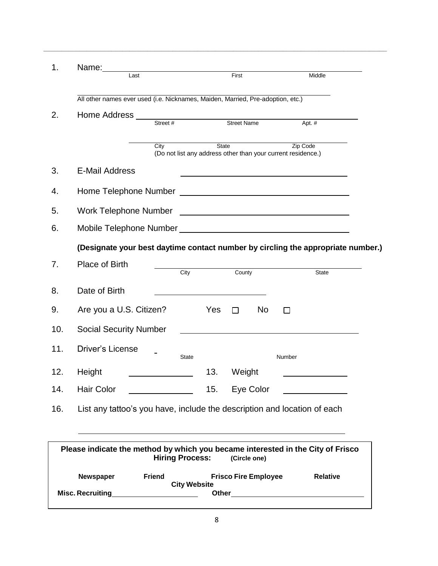| 1.  | Name:<br>Last                                                                    | First                                                                        |                                                                                                                                                                                                                               | Middle          |
|-----|----------------------------------------------------------------------------------|------------------------------------------------------------------------------|-------------------------------------------------------------------------------------------------------------------------------------------------------------------------------------------------------------------------------|-----------------|
|     |                                                                                  |                                                                              |                                                                                                                                                                                                                               |                 |
|     | All other names ever used (i.e. Nicknames, Maiden, Married, Pre-adoption, etc.)  |                                                                              |                                                                                                                                                                                                                               |                 |
| 2.  | Street #                                                                         | Street Name                                                                  |                                                                                                                                                                                                                               | Apt. #          |
|     | City                                                                             | <b>State</b><br>(Do not list any address other than your current residence.) |                                                                                                                                                                                                                               | Zip Code        |
| 3.  | <b>E-Mail Address</b>                                                            |                                                                              | the control of the control of the control of the control of the control of the control of the control of the control of the control of the control of the control of the control of the control of the control of the control |                 |
| 4.  |                                                                                  |                                                                              |                                                                                                                                                                                                                               |                 |
| 5.  |                                                                                  |                                                                              |                                                                                                                                                                                                                               |                 |
| 6.  |                                                                                  |                                                                              |                                                                                                                                                                                                                               |                 |
|     | (Designate your best daytime contact number by circling the appropriate number.) |                                                                              |                                                                                                                                                                                                                               |                 |
| 7.  | Place of Birth                                                                   | City<br>County                                                               |                                                                                                                                                                                                                               | <b>State</b>    |
| 8.  | Date of Birth                                                                    |                                                                              |                                                                                                                                                                                                                               |                 |
| 9.  | Are you a U.S. Citizen?                                                          | Yes<br>П                                                                     | N <sub>o</sub><br>$\mathsf{L}$                                                                                                                                                                                                |                 |
| 10. | <b>Social Security Number</b>                                                    |                                                                              |                                                                                                                                                                                                                               |                 |
| 11. | Driver's License                                                                 | State                                                                        | Number                                                                                                                                                                                                                        |                 |
| 12. | Height                                                                           | 13.<br>Weight                                                                |                                                                                                                                                                                                                               |                 |
| 14. | Hair Color                                                                       | 15.                                                                          | Eye Color                                                                                                                                                                                                                     |                 |
| 16. | List any tattoo's you have, include the description and location of each         |                                                                              |                                                                                                                                                                                                                               |                 |
|     |                                                                                  |                                                                              |                                                                                                                                                                                                                               |                 |
|     | Please indicate the method by which you became interested in the City of Frisco  | <b>Hiring Process:</b>                                                       | (Circle one)                                                                                                                                                                                                                  |                 |
|     | Newspaper<br><b>Friend</b><br>Misc. Recruiting                                   | <b>City Website</b><br><b>Other</b>                                          | <b>Frisco Fire Employee</b>                                                                                                                                                                                                   | <b>Relative</b> |

**\_\_\_\_\_\_\_\_\_\_\_\_\_\_\_\_\_\_\_\_\_\_\_\_\_\_\_\_\_\_\_\_\_\_\_\_\_\_\_\_\_\_\_\_\_\_\_\_\_\_\_\_\_\_\_\_\_\_\_\_\_\_\_\_\_\_\_\_\_\_\_\_\_\_\_\_\_\_\_\_\_\_\_\_\_\_\_\_\_\_\_\_\_\_\_\_**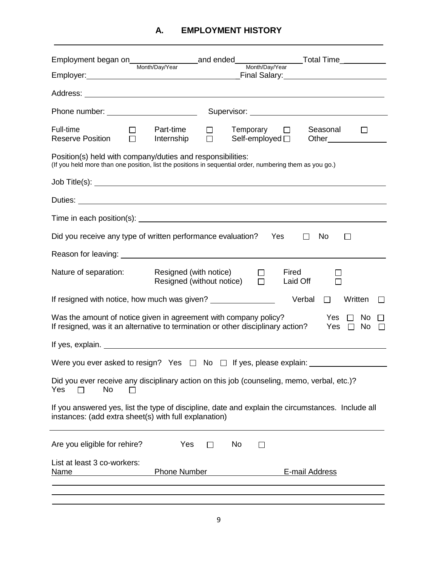| Full-time<br><b>Reserve Position</b>                                                                                                                                  | Part-time<br>$\Box$<br>$\Box$<br>Internship         | $Temperature$ $\Box$<br>Self-employed $\square$ | Seasonal<br>Other                              |
|-----------------------------------------------------------------------------------------------------------------------------------------------------------------------|-----------------------------------------------------|-------------------------------------------------|------------------------------------------------|
| Position(s) held with company/duties and responsibilities:<br>(If you held more than one position, list the positions in sequential order, numbering them as you go.) |                                                     |                                                 |                                                |
|                                                                                                                                                                       |                                                     |                                                 |                                                |
|                                                                                                                                                                       |                                                     |                                                 |                                                |
|                                                                                                                                                                       |                                                     |                                                 |                                                |
| Did you receive any type of written performance evaluation?                                                                                                           |                                                     |                                                 | Yes<br>No<br>$\perp$<br>$\mathsf{L}$           |
|                                                                                                                                                                       |                                                     |                                                 |                                                |
| Nature of separation:                                                                                                                                                 | Resigned (with notice)<br>Resigned (without notice) | $\Box$<br>$\Box$                                | Fired<br>Laid Off                              |
| If resigned with notice, how much was given? ___________________________________                                                                                      |                                                     |                                                 | Verbal<br>Written<br>П                         |
| Was the amount of notice given in agreement with company policy?<br>If resigned, was it an alternative to termination or other disciplinary action?                   |                                                     |                                                 | Yes $\Box$<br>No<br>Yes $\Box$<br>No $\square$ |
|                                                                                                                                                                       |                                                     |                                                 |                                                |
|                                                                                                                                                                       |                                                     |                                                 |                                                |
| Did you ever receive any disciplinary action on this job (counseling, memo, verbal, etc.)?<br>Yes<br>No<br>l 1                                                        |                                                     |                                                 |                                                |
| If you answered yes, list the type of discipline, date and explain the circumstances. Include all<br>instances: (add extra sheet(s) with full explanation)            |                                                     |                                                 |                                                |
| Are you eligible for rehire?                                                                                                                                          | Yes<br>$\perp$                                      | No<br>П                                         |                                                |
| List at least 3 co-workers:<br><u>Name</u>                                                                                                                            | <b>Phone Number</b>                                 |                                                 | E-mail Address                                 |
|                                                                                                                                                                       |                                                     |                                                 |                                                |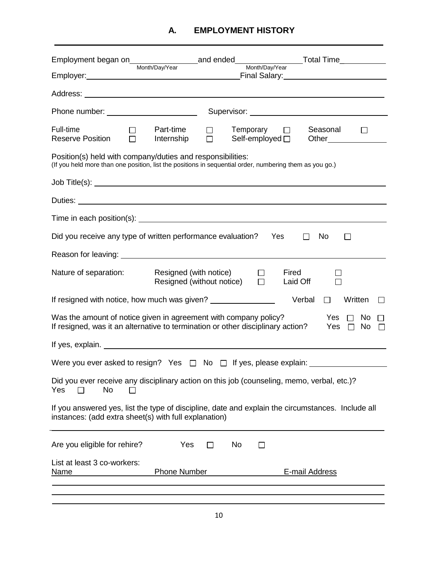| Full-time<br>Seasonal<br>Part-time<br>$Temperature$ $\Box$<br>$\Box$<br>$\mathsf{L}$<br>$\Box$<br><b>Reserve Position</b><br>Internship<br>Self-employed $\square$<br>Other                              |
|----------------------------------------------------------------------------------------------------------------------------------------------------------------------------------------------------------|
| Position(s) held with company/duties and responsibilities:<br>(If you held more than one position, list the positions in sequential order, numbering them as you go.)                                    |
|                                                                                                                                                                                                          |
| Duties: <u>New York: Andreast State Communication</u>                                                                                                                                                    |
|                                                                                                                                                                                                          |
| Did you receive any type of written performance evaluation?<br>Yes<br>No<br>$\Box$<br>$\perp$                                                                                                            |
|                                                                                                                                                                                                          |
| Nature of separation:<br>Resigned (with notice)<br>Fired<br>$\perp$<br>Resigned (without notice) $\square$<br>Laid Off                                                                                   |
| If resigned with notice, how much was given? _______________<br>Verbal<br>Written<br>$\Box$<br>$\perp$                                                                                                   |
| Was the amount of notice given in agreement with company policy?<br>Yes $\Box$<br>No<br>If resigned, was it an alternative to termination or other disciplinary action?<br>Yes<br>$\Box$<br>No $\square$ |
|                                                                                                                                                                                                          |
| Were you ever asked to resign? Yes $\Box$ No $\Box$ If yes, please explain: $\Box$                                                                                                                       |
| Did you ever receive any disciplinary action on this job (counseling, memo, verbal, etc.)?<br>Yes<br>No                                                                                                  |
| If you answered yes, list the type of discipline, date and explain the circumstances. Include all<br>instances: (add extra sheet(s) with full explanation)                                               |
| Are you eligible for rehire?<br>Yes<br>No<br>$\perp$<br>$\mathsf{L}$                                                                                                                                     |
| List at least 3 co-workers:<br><b>Phone Number</b><br>E-mail Address<br>Name                                                                                                                             |
|                                                                                                                                                                                                          |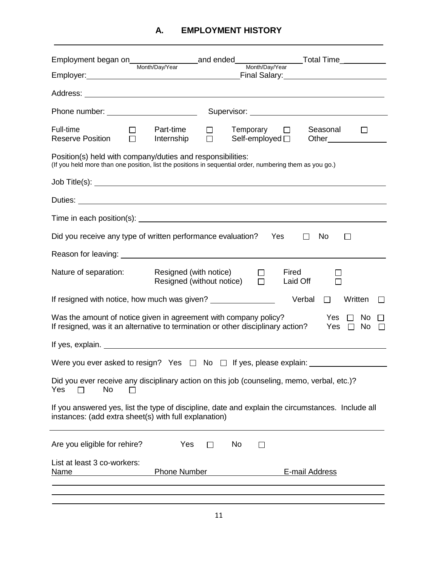| Phone number: _______________________                                                                                                                                                                                              |                                                                          |                                                               |
|------------------------------------------------------------------------------------------------------------------------------------------------------------------------------------------------------------------------------------|--------------------------------------------------------------------------|---------------------------------------------------------------|
| Full-time<br>Part-time<br><b>Reserve Position</b><br>Internship                                                                                                                                                                    | $Temperature$ $\Box$<br>□<br>$\Box$<br>Self-employed $\square$           | Seasonal<br>$\perp$<br>Other <sub>_____________________</sub> |
| Position(s) held with company/duties and responsibilities:<br>(If you held more than one position, list the positions in sequential order, numbering them as you go.)                                                              |                                                                          |                                                               |
|                                                                                                                                                                                                                                    |                                                                          |                                                               |
|                                                                                                                                                                                                                                    |                                                                          |                                                               |
| Time in each position(s): <b>example 2</b> and the contract of the contract of the contract of the contract of the contract of the contract of the contract of the contract of the contract of the contract of the contract of the |                                                                          |                                                               |
| Did you receive any type of written performance evaluation?                                                                                                                                                                        |                                                                          | Yes<br>No<br>$\mathsf{L}$<br>$\mathsf{L}$                     |
|                                                                                                                                                                                                                                    |                                                                          |                                                               |
| Nature of separation:                                                                                                                                                                                                              | Resigned (with notice)<br>$\perp$<br>Resigned (without notice)<br>$\Box$ | Fired<br>Laid Off                                             |
| If resigned with notice, how much was given? ___________________________________                                                                                                                                                   |                                                                          | Verbal<br>Written<br>П                                        |
| Was the amount of notice given in agreement with company policy?<br>If resigned, was it an alternative to termination or other disciplinary action?                                                                                |                                                                          | Yes $\Box$ No<br>Yes $\Box$ No $\Box$                         |
|                                                                                                                                                                                                                                    |                                                                          |                                                               |
| Were you ever asked to resign? Yes $\Box$ No $\Box$ If yes, please explain: $\Box$                                                                                                                                                 |                                                                          |                                                               |
| Did you ever receive any disciplinary action on this job (counseling, memo, verbal, etc.)?<br>Yes<br>No<br>$\mathbf{I}$                                                                                                            |                                                                          |                                                               |
| If you answered yes, list the type of discipline, date and explain the circumstances. Include all<br>instances: (add extra sheet(s) with full explanation)                                                                         |                                                                          |                                                               |
| Yes<br>Are you eligible for rehire?                                                                                                                                                                                                | No<br>$\mathsf{L}$<br>$\perp$                                            |                                                               |
| List at least 3 co-workers:<br><b>Phone Number</b><br><u>Name</u>                                                                                                                                                                  |                                                                          | E-mail Address                                                |
|                                                                                                                                                                                                                                    |                                                                          |                                                               |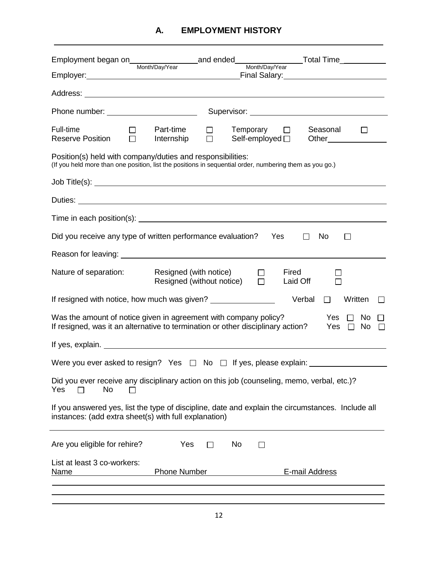| Full-time<br>Part-time<br>Temporary $\Box$<br>Seasonal<br>$\Box$<br>$\perp$<br>$\Box$<br><b>Reserve Position</b><br>Internship<br>Self-employed $\square$                                                                               |
|-----------------------------------------------------------------------------------------------------------------------------------------------------------------------------------------------------------------------------------------|
| Position(s) held with company/duties and responsibilities:<br>(If you held more than one position, list the positions in sequential order, numbering them as you go.)                                                                   |
|                                                                                                                                                                                                                                         |
| Duties: <u>Duties:</u> <b>Duties: Contract Contract Contract Contract Contract Contract Contract Contract Contract Contract Contract Contract Contract Contract Contract Contract Contract Contract Contract Contract Contract Cont</b> |
| Time in each position(s): <u>contract the contract of the contract of the contract of the contract of the contract of</u>                                                                                                               |
| Did you receive any type of written performance evaluation?<br>Yes<br>No<br>$\perp$<br>П                                                                                                                                                |
|                                                                                                                                                                                                                                         |
| Nature of separation:<br>Resigned (with notice)<br>Fired<br>$\perp$<br>Resigned (without notice)<br>$\Box$<br>Laid Off                                                                                                                  |
| If resigned with notice, how much was given? ___________________________________<br>Verbal<br>Written<br>$\Box$<br>$\mathbf{I}$                                                                                                         |
| Yes $\Box$<br>Was the amount of notice given in agreement with company policy?<br>No<br>If resigned, was it an alternative to termination or other disciplinary action?<br>Yes $\Box$<br>No $\square$                                   |
|                                                                                                                                                                                                                                         |
|                                                                                                                                                                                                                                         |
| Did you ever receive any disciplinary action on this job (counseling, memo, verbal, etc.)?<br>Yes<br>No<br>ΙI                                                                                                                           |
| If you answered yes, list the type of discipline, date and explain the circumstances. Include all<br>instances: (add extra sheet(s) with full explanation)                                                                              |
| Yes<br>Are you eligible for rehire?<br>No<br>$\Box$<br>П                                                                                                                                                                                |
| List at least 3 co-workers:<br><b>Phone Number</b><br>E-mail Address<br><u>Name</u>                                                                                                                                                     |
|                                                                                                                                                                                                                                         |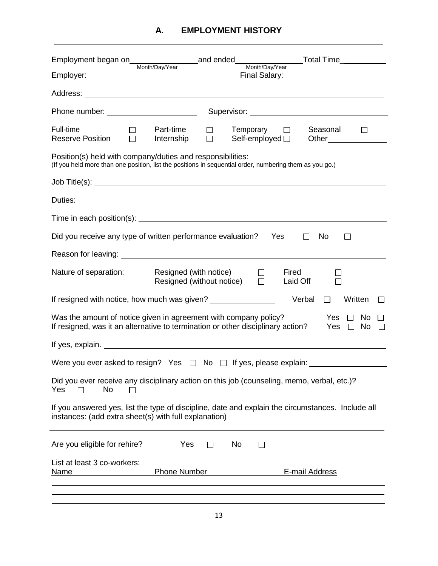| Phone number: ________________________                                                                                                                                                             |
|----------------------------------------------------------------------------------------------------------------------------------------------------------------------------------------------------|
| Full-time<br>Part-time<br>Temporary $\Box$<br>Seasonal<br>$\Box$<br>$\perp$<br>$\Box$<br><b>Reserve Position</b><br>Internship<br>Self-employed □<br>Other                                         |
| Position(s) held with company/duties and responsibilities:<br>(If you held more than one position, list the positions in sequential order, numbering them as you go.)                              |
|                                                                                                                                                                                                    |
|                                                                                                                                                                                                    |
|                                                                                                                                                                                                    |
| Did you receive any type of written performance evaluation?<br>Yes<br>No<br>$\perp$<br>ΙI                                                                                                          |
|                                                                                                                                                                                                    |
| Nature of separation:<br>Resigned (with notice)<br>Fired<br>$\Box$<br>$\Box$<br>Resigned (without notice)<br>Laid Off                                                                              |
| If resigned with notice, how much was given? ___________________________________<br>Written<br>Verbal<br>$\Box$<br>$\perp$                                                                         |
| Yes $\Box$ No<br>Was the amount of notice given in agreement with company policy?<br>If resigned, was it an alternative to termination or other disciplinary action?<br>Yes $\Box$<br>No $\square$ |
|                                                                                                                                                                                                    |
|                                                                                                                                                                                                    |
| Did you ever receive any disciplinary action on this job (counseling, memo, verbal, etc.)?<br>Yes<br>No<br>$\mathsf{L}$                                                                            |
| If you answered yes, list the type of discipline, date and explain the circumstances. Include all<br>instances: (add extra sheet(s) with full explanation)                                         |
| Are you eligible for rehire?<br>Yes<br>No<br>$\mathsf{L}$<br>l 1                                                                                                                                   |
| List at least 3 co-workers:<br><b>Phone Number</b><br>E-mail Address<br><b>Name</b>                                                                                                                |
|                                                                                                                                                                                                    |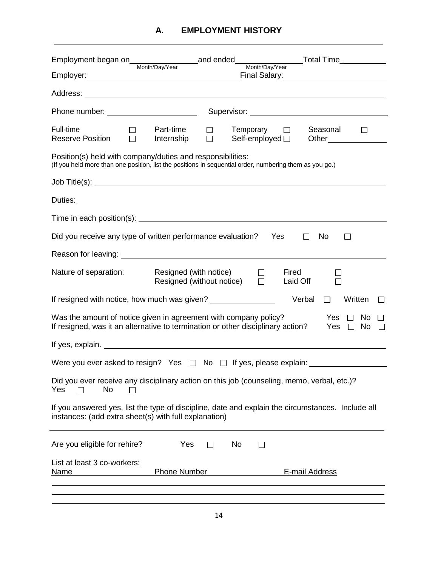|                                                                                                                                                                       | _Final Salary:___________________________                            |
|-----------------------------------------------------------------------------------------------------------------------------------------------------------------------|----------------------------------------------------------------------|
|                                                                                                                                                                       |                                                                      |
|                                                                                                                                                                       |                                                                      |
|                                                                                                                                                                       |                                                                      |
| Full-time<br>Part-time<br>$\Box$<br>$\Box$<br><b>Reserve Position</b><br>Internship                                                                                   | Seasonal<br>$Temperature$ $\Box$<br>Self-employed $\square$<br>Other |
| Position(s) held with company/duties and responsibilities:<br>(If you held more than one position, list the positions in sequential order, numbering them as you go.) |                                                                      |
|                                                                                                                                                                       |                                                                      |
|                                                                                                                                                                       |                                                                      |
|                                                                                                                                                                       |                                                                      |
| Did you receive any type of written performance evaluation?                                                                                                           | Yes<br>No<br>$\perp$<br>$\mathsf{L}$                                 |
|                                                                                                                                                                       |                                                                      |
| Nature of separation:<br>Resigned (with notice)<br>Resigned (without notice)                                                                                          | Fired<br>$\Box$<br>$\Box$<br>Laid Off                                |
| If resigned with notice, how much was given? ___________________________________                                                                                      | Verbal<br>Written<br>П                                               |
| Was the amount of notice given in agreement with company policy?<br>If resigned, was it an alternative to termination or other disciplinary action?                   | Yes $\Box$<br>No<br>Yes $\Box$<br>No $\square$                       |
|                                                                                                                                                                       |                                                                      |
|                                                                                                                                                                       |                                                                      |
| Did you ever receive any disciplinary action on this job (counseling, memo, verbal, etc.)?<br>Yes<br>No<br>$\Box$                                                     |                                                                      |
| If you answered yes, list the type of discipline, date and explain the circumstances. Include all<br>instances: (add extra sheet(s) with full explanation)            |                                                                      |
| Are you eligible for rehire?<br>Yes<br>$\perp$                                                                                                                        | No<br>П                                                              |
| List at least 3 co-workers:<br><b>Phone Number</b><br><u>Name</u>                                                                                                     | E-mail Address                                                       |
|                                                                                                                                                                       |                                                                      |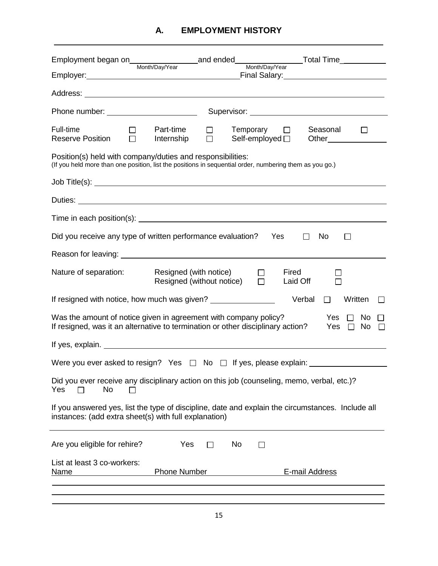| Employer: Management of the Communication of the Communication of the Communication of the Communication of the Communication of the Communication of the Communication of the Communication of the Communication of the Commu<br>Final Salary: ____________________________ |
|------------------------------------------------------------------------------------------------------------------------------------------------------------------------------------------------------------------------------------------------------------------------------|
|                                                                                                                                                                                                                                                                              |
| Phone number: _________________________                                                                                                                                                                                                                                      |
| Full-time<br>Part-time<br>Seasonal<br>$Temperature$ $\Box$<br>$\Box$<br>$\Box$<br>Self-employed $\square$<br><b>Reserve Position</b><br>Internship                                                                                                                           |
| Position(s) held with company/duties and responsibilities:<br>(If you held more than one position, list the positions in sequential order, numbering them as you go.)                                                                                                        |
|                                                                                                                                                                                                                                                                              |
|                                                                                                                                                                                                                                                                              |
| Time in each position(s): <u>example and container</u> and container and container and container and container and container and container and container and container and container and container and container and container and                                           |
| Did you receive any type of written performance evaluation?<br>Yes<br>No<br>$\perp$<br>ΙI                                                                                                                                                                                    |
|                                                                                                                                                                                                                                                                              |
| Nature of separation:<br>Resigned (with notice)<br>Fired<br>$\Box$<br>$\Box$<br>Resigned (without notice)<br>Laid Off                                                                                                                                                        |
| If resigned with notice, how much was given? ___________________________________<br>Written<br>Verbal<br>$\Box$<br>$\perp$                                                                                                                                                   |
| Yes $\Box$ No<br>Was the amount of notice given in agreement with company policy?<br>If resigned, was it an alternative to termination or other disciplinary action?<br>Yes $\Box$<br>No $\square$                                                                           |
|                                                                                                                                                                                                                                                                              |
| Were you ever asked to resign? Yes $\Box$ No $\Box$ If yes, please explain: $\Box$                                                                                                                                                                                           |
| Did you ever receive any disciplinary action on this job (counseling, memo, verbal, etc.)?<br>Yes<br>No<br>l 1                                                                                                                                                               |
| If you answered yes, list the type of discipline, date and explain the circumstances. Include all<br>instances: (add extra sheet(s) with full explanation)                                                                                                                   |
| Are you eligible for rehire?<br>Yes<br>No<br>$\Box$<br>$\mathsf{L}$                                                                                                                                                                                                          |
| List at least 3 co-workers:<br><b>Phone Number</b><br>E-mail Address<br><b>Name</b>                                                                                                                                                                                          |
|                                                                                                                                                                                                                                                                              |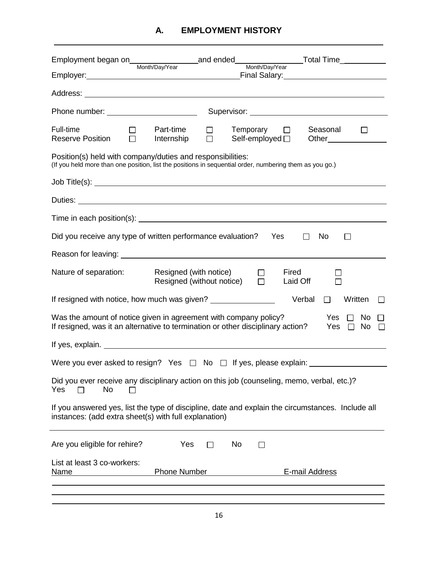| Phone number: _________________________                                                                                                                                                                                              |
|--------------------------------------------------------------------------------------------------------------------------------------------------------------------------------------------------------------------------------------|
| Full-time<br>Part-time<br>Seasonal<br>$Temperature$ $\Box$<br>$\Box$<br>LΙ<br>$\perp$<br>$\Box$<br><b>Reserve Position</b><br>Self-employed $\square$<br>Internship<br>Other                                                         |
| Position(s) held with company/duties and responsibilities:<br>(If you held more than one position, list the positions in sequential order, numbering them as you go.)                                                                |
|                                                                                                                                                                                                                                      |
| Duties: <u>New York: New York: New York: New York: New York: New York: New York: New York: New York: New York: New York: New York: New York: New York: New York: New York: New York: New York: New York: New York: New York: New</u> |
| Time in each position(s): example and a series of the series of the series of the series of the series of the series of the series of the series of the series of the series of the series of the series of the series of the        |
| Did you receive any type of written performance evaluation?<br>Yes<br>No<br>$\perp$<br>$\perp$                                                                                                                                       |
|                                                                                                                                                                                                                                      |
| Nature of separation:<br>Resigned (with notice)<br>Fired<br>$\Box$<br>Resigned (without notice)<br>$\Box$<br>Laid Off                                                                                                                |
| If resigned with notice, how much was given? ___________________________________<br>Written<br>Verbal<br>П<br>$\perp$                                                                                                                |
| Yes $\Box$ No<br>Was the amount of notice given in agreement with company policy?<br>If resigned, was it an alternative to termination or other disciplinary action?<br>Yes $\Box$ No $\Box$                                         |
|                                                                                                                                                                                                                                      |
| Were you ever asked to resign? Yes □ No □ If yes, please explain: ______________                                                                                                                                                     |
| Did you ever receive any disciplinary action on this job (counseling, memo, verbal, etc.)?<br>Yes<br>No<br>l 1                                                                                                                       |
| If you answered yes, list the type of discipline, date and explain the circumstances. Include all<br>instances: (add extra sheet(s) with full explanation)                                                                           |
| Yes<br>Are you eligible for rehire?<br>No<br>П<br>$\Box$                                                                                                                                                                             |
| List at least 3 co-workers:<br><b>Phone Number</b><br>E-mail Address<br><u>Name</u>                                                                                                                                                  |
|                                                                                                                                                                                                                                      |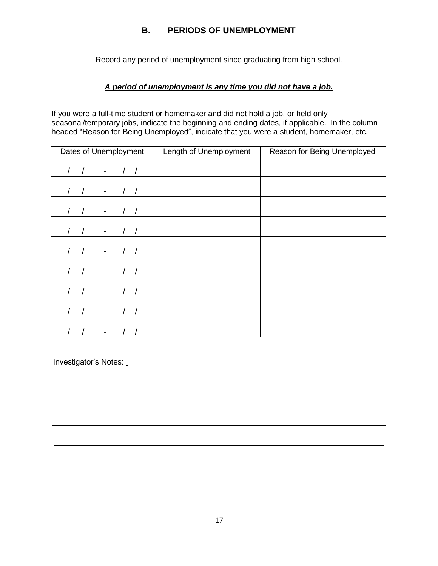Record any period of unemployment since graduating from high school.

### *A period of unemployment is any time you did not have a job.*

If you were a full-time student or homemaker and did not hold a job, or held only seasonal/temporary jobs, indicate the beginning and ending dates, if applicable. In the column headed "Reason for Being Unemployed", indicate that you were a student, homemaker, etc.

| Dates of Unemployment                  | Length of Unemployment | Reason for Being Unemployed |
|----------------------------------------|------------------------|-----------------------------|
| $\sqrt{ }$<br>$\overline{\phantom{a}}$ |                        |                             |
| $\overline{\phantom{a}}$               |                        |                             |
| $\overline{\phantom{a}}$               |                        |                             |
| $\overline{\phantom{a}}$               |                        |                             |
| $\qquad \qquad \blacksquare$           |                        |                             |
|                                        |                        |                             |
|                                        |                        |                             |
|                                        |                        |                             |
|                                        |                        |                             |

Investigator's Notes: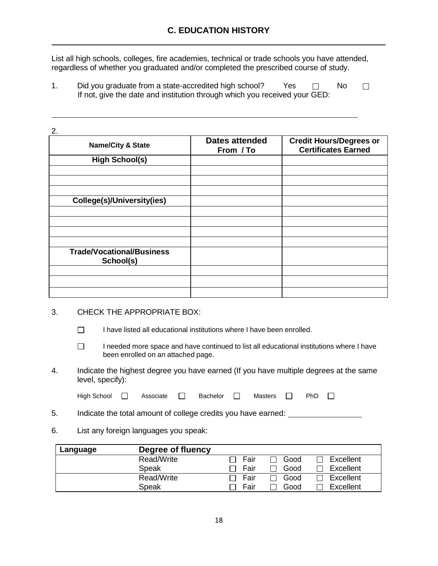List all high schools, colleges, fire academies, technical or trade schools you have attended, regardless of whether you graduated and/or completed the prescribed course of study.

1. Did you graduate from a state-accredited high school? Yes  $\Box$  No  $\Box$ If not, give the date and institution through which you received your GED:

| 2.                                            |                                    |                                                              |
|-----------------------------------------------|------------------------------------|--------------------------------------------------------------|
| <b>Name/City &amp; State</b>                  | <b>Dates attended</b><br>From / To | <b>Credit Hours/Degrees or</b><br><b>Certificates Earned</b> |
| <b>High School(s)</b>                         |                                    |                                                              |
|                                               |                                    |                                                              |
|                                               |                                    |                                                              |
|                                               |                                    |                                                              |
| College(s)/University(ies)                    |                                    |                                                              |
|                                               |                                    |                                                              |
|                                               |                                    |                                                              |
|                                               |                                    |                                                              |
|                                               |                                    |                                                              |
| <b>Trade/Vocational/Business</b><br>School(s) |                                    |                                                              |
|                                               |                                    |                                                              |
|                                               |                                    |                                                              |
|                                               |                                    |                                                              |

#### 3. CHECK THE APPROPRIATE BOX:

- $\Box$ I have listed all educational institutions where I have been enrolled.
- $\Box$ I needed more space and have continued to list all educational institutions where I have been enrolled on an attached page.
- 4. Indicate the highest degree you have earned (If you have multiple degrees at the same level, specify):

| High School | Associate | Bachelor | Masters $\Box$ | PhD |  |
|-------------|-----------|----------|----------------|-----|--|
|             |           |          |                |     |  |

- 5. Indicate the total amount of college credits you have earned:
- 6. List any foreign languages you speak:

| Language | Degree of fluency |      |      |           |
|----------|-------------------|------|------|-----------|
|          | Read/Write        | Fair | Good | Excellent |
|          | Speak             | Fair | Good | Excellent |
|          | Read/Write        | Fair | Good | Excellent |
|          | Speak             | Fair | Good | Excellent |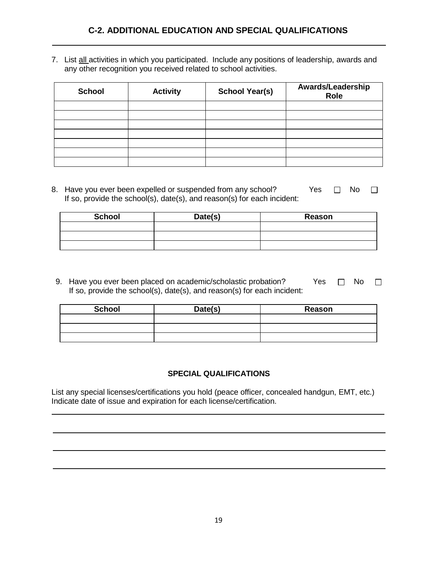7. List all activities in which you participated. Include any positions of leadership, awards and any other recognition you received related to school activities.

| <b>School</b> | <b>Activity</b> | <b>School Year(s)</b> | Awards/Leadership<br>Role |
|---------------|-----------------|-----------------------|---------------------------|
|               |                 |                       |                           |
|               |                 |                       |                           |
|               |                 |                       |                           |
|               |                 |                       |                           |
|               |                 |                       |                           |
|               |                 |                       |                           |
|               |                 |                       |                           |

8. Have you ever been expelled or suspended from any school? Yes  $\Box$  No  $\Box$ If so, provide the school(s), date(s), and reason(s) for each incident:

| <b>School</b> | Date(s) | Reason |
|---------------|---------|--------|
|               |         |        |
|               |         |        |
|               |         |        |

9. Have you ever been placed on academic/scholastic probation? Yes  $\Box$  No  $\Box$ If so, provide the school(s), date(s), and reason(s) for each incident:

| <b>School</b> | Date(s) | Reason |
|---------------|---------|--------|
|               |         |        |
|               |         |        |
|               |         |        |

#### **SPECIAL QUALIFICATIONS**

List any special licenses/certifications you hold (peace officer, concealed handgun, EMT, etc.) Indicate date of issue and expiration for each license/certification.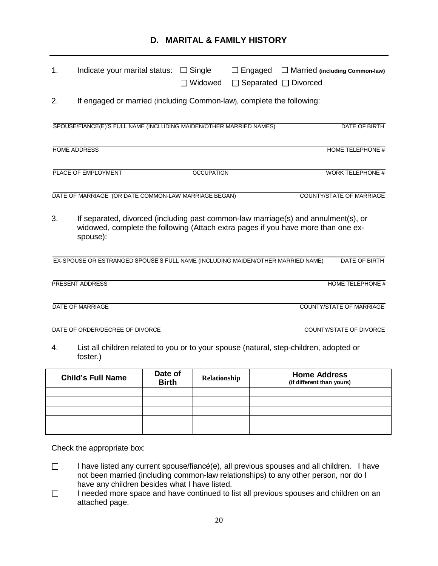## **D. MARITAL & FAMILY HISTORY**

| 1. | Indicate your marital status:                                                                                                                                                       |         | $\Box$ Single<br>$\Box$ Widowed | $\Box$ Engaged<br>$\Box$ Separated $\Box$ Divorced |                     | $\Box$ Married (including Common-law) |  |
|----|-------------------------------------------------------------------------------------------------------------------------------------------------------------------------------------|---------|---------------------------------|----------------------------------------------------|---------------------|---------------------------------------|--|
| 2. | If engaged or married (including Common-law), complete the following:                                                                                                               |         |                                 |                                                    |                     |                                       |  |
|    | SPOUSE/FIANCE(E)'S FULL NAME (INCLUDING MAIDEN/OTHER MARRIED NAMES)                                                                                                                 |         |                                 |                                                    |                     | DATE OF BIRTH                         |  |
|    | <b>HOME ADDRESS</b>                                                                                                                                                                 |         |                                 |                                                    |                     | <b>HOME TELEPHONE #</b>               |  |
|    | PLACE OF EMPLOYMENT                                                                                                                                                                 |         | <b>OCCUPATION</b>               |                                                    |                     | <b>WORK TELEPHONE #</b>               |  |
|    | DATE OF MARRIAGE (OR DATE COMMON-LAW MARRIAGE BEGAN)                                                                                                                                |         |                                 |                                                    |                     | <b>COUNTY/STATE OF MARRIAGE</b>       |  |
| 3. | If separated, divorced (including past common-law marriage(s) and annulment(s), or<br>widowed, complete the following (Attach extra pages if you have more than one ex-<br>spouse): |         |                                 |                                                    |                     |                                       |  |
|    | EX-SPOUSE OR ESTRANGED SPOUSE'S FULL NAME (INCLUDING MAIDEN/OTHER MARRIED NAME)                                                                                                     |         |                                 |                                                    |                     | DATE OF BIRTH                         |  |
|    | PRESENT ADDRESS                                                                                                                                                                     |         |                                 |                                                    |                     | HOME TELEPHONE #                      |  |
|    | <b>DATE OF MARRIAGE</b>                                                                                                                                                             |         |                                 |                                                    |                     | <b>COUNTY/STATE OF MARRIAGE</b>       |  |
|    | DATE OF ORDER/DECREE OF DIVORCE                                                                                                                                                     |         |                                 |                                                    |                     | <b>COUNTY/STATE OF DIVORCE</b>        |  |
| 4. | List all children related to you or to your spouse (natural, step-children, adopted or<br>foster.)                                                                                  |         |                                 |                                                    |                     |                                       |  |
|    | Child's Full Name                                                                                                                                                                   | Date of | Relationshin                    |                                                    | <b>Home Address</b> |                                       |  |

| <b>Child's Full Name</b> | Date of<br><b>Birth</b> | Relationship | <b>Home Address</b><br>(if different than yours) |
|--------------------------|-------------------------|--------------|--------------------------------------------------|
|                          |                         |              |                                                  |
|                          |                         |              |                                                  |
|                          |                         |              |                                                  |
|                          |                         |              |                                                  |
|                          |                         |              |                                                  |

Check the appropriate box:

- I have listed any current spouse/fiancé(e), all previous spouses and all children. I have  $\Box$ not been married (including common-law relationships) to any other person, nor do I have any children besides what I have listed.
- I needed more space and have continued to list all previous spouses and children on an  $\Box$ attached page.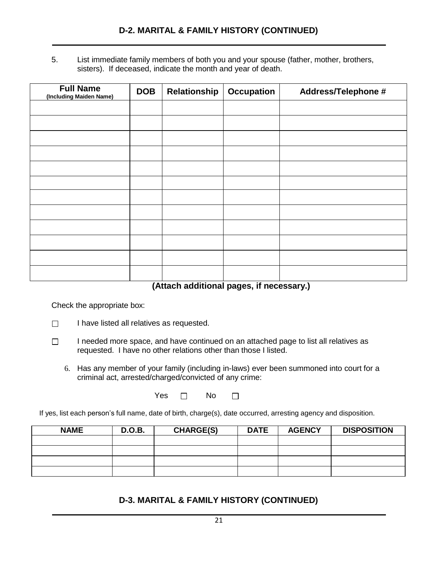5. List immediate family members of both you and your spouse (father, mother, brothers, sisters). If deceased, indicate the month and year of death.

| <b>Full Name</b><br>(Including Maiden Name) | <b>DOB</b> | Relationship | <b>Occupation</b> | <b>Address/Telephone #</b> |
|---------------------------------------------|------------|--------------|-------------------|----------------------------|
|                                             |            |              |                   |                            |
|                                             |            |              |                   |                            |
|                                             |            |              |                   |                            |
|                                             |            |              |                   |                            |
|                                             |            |              |                   |                            |
|                                             |            |              |                   |                            |
|                                             |            |              |                   |                            |
|                                             |            |              |                   |                            |
|                                             |            |              |                   |                            |
|                                             |            |              |                   |                            |
|                                             |            |              |                   |                            |
|                                             |            |              |                   |                            |

**(Attach additional pages, if necessary.)**

Check the appropriate box:

- $\Box$ I have listed all relatives as requested.
- $\Box$ I needed more space, and have continued on an attached page to list all relatives as requested. I have no other relations other than those I listed.
	- 6. Has any member of your family (including in-laws) ever been summoned into court for a criminal act, arrested/charged/convicted of any crime:

Yes  $\Box$  No  $\Box$ 

If yes, list each person's full name, date of birth, charge(s), date occurred, arresting agency and disposition.

| <b>NAME</b> | <b>D.O.B.</b> | <b>CHARGE(S)</b> | <b>DATE</b> | <b>AGENCY</b> | <b>DISPOSITION</b> |
|-------------|---------------|------------------|-------------|---------------|--------------------|
|             |               |                  |             |               |                    |
|             |               |                  |             |               |                    |
|             |               |                  |             |               |                    |
|             |               |                  |             |               |                    |

## **D-3. MARITAL & FAMILY HISTORY (CONTINUED)**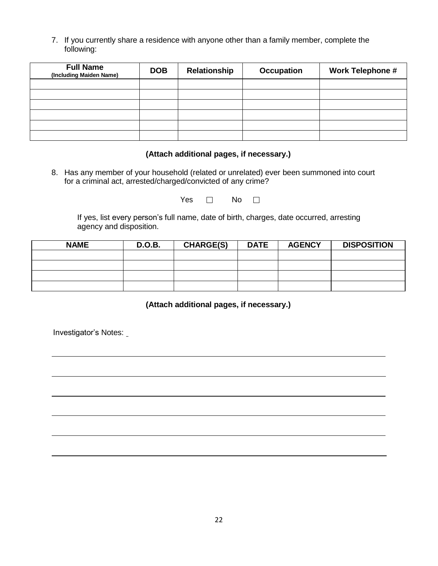7. If you currently share a residence with anyone other than a family member, complete the following:

| <b>Full Name</b><br>(Including Maiden Name) | <b>DOB</b> | Relationship | <b>Occupation</b> | <b>Work Telephone #</b> |
|---------------------------------------------|------------|--------------|-------------------|-------------------------|
|                                             |            |              |                   |                         |
|                                             |            |              |                   |                         |
|                                             |            |              |                   |                         |
|                                             |            |              |                   |                         |
|                                             |            |              |                   |                         |
|                                             |            |              |                   |                         |

#### **(Attach additional pages, if necessary.)**

8. Has any member of your household (related or unrelated) ever been summoned into court for a criminal act, arrested/charged/convicted of any crime?

Yes  $\Box$  No  $\Box$ 

If yes, list every person's full name, date of birth, charges, date occurred, arresting agency and disposition.

| <b>NAME</b> | <b>D.O.B.</b> | <b>CHARGE(S)</b> | <b>DATE</b> | <b>AGENCY</b> | <b>DISPOSITION</b> |
|-------------|---------------|------------------|-------------|---------------|--------------------|
|             |               |                  |             |               |                    |
|             |               |                  |             |               |                    |
|             |               |                  |             |               |                    |
|             |               |                  |             |               |                    |

**(Attach additional pages, if necessary.)**

Investigator's Notes: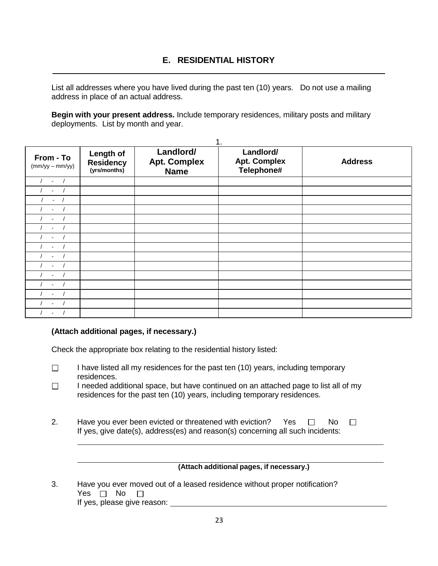List all addresses where you have lived during the past ten (10) years. Do not use a mailing address in place of an actual address.

**Begin with your present address.** Include temporary residences, military posts and military deployments. List by month and year.

| From - To<br>$(mm/yy - mm/yy)$ | Length of<br><b>Residency</b><br>(yrs/months) | Landlord/<br><b>Apt. Complex</b><br><b>Name</b> | 1.<br>Landlord/<br><b>Apt. Complex</b><br>Telephone# | <b>Address</b> |
|--------------------------------|-----------------------------------------------|-------------------------------------------------|------------------------------------------------------|----------------|
| $\blacksquare$                 |                                               |                                                 |                                                      |                |
|                                |                                               |                                                 |                                                      |                |
|                                |                                               |                                                 |                                                      |                |
|                                |                                               |                                                 |                                                      |                |
|                                |                                               |                                                 |                                                      |                |
|                                |                                               |                                                 |                                                      |                |
|                                |                                               |                                                 |                                                      |                |
|                                |                                               |                                                 |                                                      |                |
|                                |                                               |                                                 |                                                      |                |
|                                |                                               |                                                 |                                                      |                |
|                                |                                               |                                                 |                                                      |                |
|                                |                                               |                                                 |                                                      |                |
|                                |                                               |                                                 |                                                      |                |
|                                |                                               |                                                 |                                                      |                |
|                                |                                               |                                                 |                                                      |                |

#### **(Attach additional pages, if necessary.)**

Check the appropriate box relating to the residential history listed:

- $\Box$ I have listed all my residences for the past ten (10) years, including temporary residences.
- $\Box$ I needed additional space, but have continued on an attached page to list all of my residences for the past ten (10) years, including temporary residences.
- 2. Have you ever been evicted or threatened with eviction? Yes  $\Box$  No  $\Box$ If yes, give date(s), address(es) and reason(s) concerning all such incidents:

#### **(Attach additional pages, if necessary.)**

3. Have you ever moved out of a leased residence without proper notification? Yes  $\Box$  No  $\Box$ If yes, please give reason: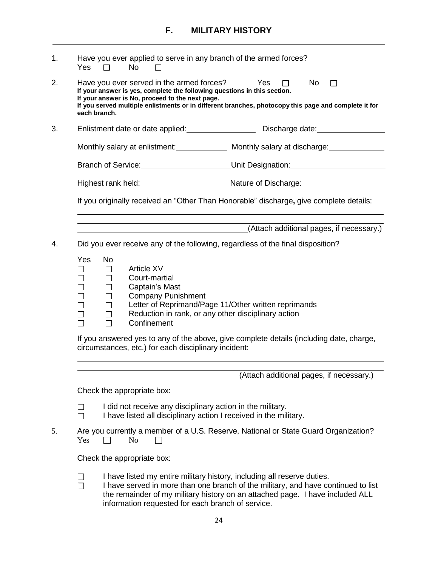| 1. | Have you ever applied to serve in any branch of the armed forces?<br><b>No</b><br>Yes<br>$\Box$                                                                                                                                                                                                                                                          |
|----|----------------------------------------------------------------------------------------------------------------------------------------------------------------------------------------------------------------------------------------------------------------------------------------------------------------------------------------------------------|
| 2. | Have you ever served in the armed forces?<br>Yes<br>No l<br>П.<br>If your answer is yes, complete the following questions in this section.<br>If your answer is No, proceed to the next page.<br>If you served multiple enlistments or in different branches, photocopy this page and complete it for<br>each branch.                                    |
| 3. | Enlistment date or date applied: ___________________________Discharge date: ________________________                                                                                                                                                                                                                                                     |
|    | Monthly salary at enlistment: _______________ Monthly salary at discharge: ____________                                                                                                                                                                                                                                                                  |
|    | Branch of Service: Unit Designation: Unit Designation.                                                                                                                                                                                                                                                                                                   |
|    | Highest rank held: _________________________________Nature of Discharge: ___________________________                                                                                                                                                                                                                                                     |
|    | If you originally received an "Other Than Honorable" discharge, give complete details:                                                                                                                                                                                                                                                                   |
|    | (Attach additional pages, if necessary.)<br><u> 1980 - Johann John Stone, mars et al. (</u>                                                                                                                                                                                                                                                              |
| 4. | Did you ever receive any of the following, regardless of the final disposition?                                                                                                                                                                                                                                                                          |
|    | <b>Yes</b><br><b>No</b><br><b>Article XV</b><br>$\Box$<br>$\Box$<br>Court-martial<br>$\Box$<br>П<br>$\Box$<br>Captain's Mast<br>П<br>$\Box$<br><b>Company Punishment</b><br>$\Box$<br>$\Box$<br>Letter of Reprimand/Page 11/Other written reprimands<br>$\Box$<br>$\Box$<br>Reduction in rank, or any other disciplinary action<br>Confinement<br>$\Box$ |
|    | If you appured yet to any of the above give complete details (including data, charge                                                                                                                                                                                                                                                                     |

If you answered yes to any of the above, give complete details (including date, charge, circumstances, etc.) for each disciplinary incident:

(Attach additional pages, if necessary.)

Check the appropriate box:

- I did not receive any disciplinary action in the military.  $\Box$
- $\Box$ I have listed all disciplinary action I received in the military.
- 5. Are you currently a member of a U.S. Reserve, National or State Guard Organization?  $Yes \Box No$  $\Box$

Check the appropriate box:

- I have listed my entire military history, including all reserve duties.  $\Box$
- I have served in more than one branch of the military, and have continued to list  $\Box$ the remainder of my military history on an attached page. I have included ALL information requested for each branch of service.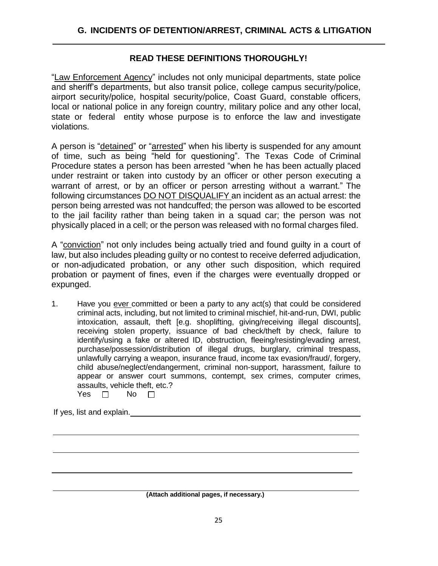#### **READ THESE DEFINITIONS THOROUGHLY!**

"Law Enforcement Agency" includes not only municipal departments, state police and sheriff's departments, but also transit police, college campus security/police, airport security/police, hospital security/police, Coast Guard, constable officers, local or national police in any foreign country, military police and any other local, state or federal entity whose purpose is to enforce the law and investigate violations.

A person is "detained" or "arrested" when his liberty is suspended for any amount of time, such as being "held for questioning". The Texas Code of Criminal Procedure states a person has been arrested "when he has been actually placed under restraint or taken into custody by an officer or other person executing a warrant of arrest, or by an officer or person arresting without a warrant." The following circumstances DO NOT DISQUALIFY an incident as an actual arrest: the person being arrested was not handcuffed; the person was allowed to be escorted to the jail facility rather than being taken in a squad car; the person was not physically placed in a cell; or the person was released with no formal charges filed.

A "conviction" not only includes being actually tried and found guilty in a court of law, but also includes pleading guilty or no contest to receive deferred adjudication, or non-adjudicated probation, or any other such disposition, which required probation or payment of fines, even if the charges were eventually dropped or expunged.

1. Have you ever committed or been a party to any act(s) that could be considered criminal acts, including, but not limited to criminal mischief, hit-and-run, DWI, public intoxication, assault, theft [e.g. shoplifting, giving/receiving illegal discounts], receiving stolen property, issuance of bad check/theft by check, failure to identify/using a fake or altered ID, obstruction, fleeing/resisting/evading arrest, purchase/possession/distribution of illegal drugs, burglary, criminal trespass, unlawfully carrying a weapon, insurance fraud, income tax evasion/fraud/, forgery, child abuse/neglect/endangerment, criminal non-support, harassment, failure to appear or answer court summons, contempt, sex crimes, computer crimes, assaults, vehicle theft, etc.?  $V_{\alpha\alpha}$   $\Box$   $N_{\alpha}$   $\Box$ 

| r es | IΝO |  |
|------|-----|--|
|      |     |  |

If yes, list and explain.

**(Attach additional pages, if necessary.)**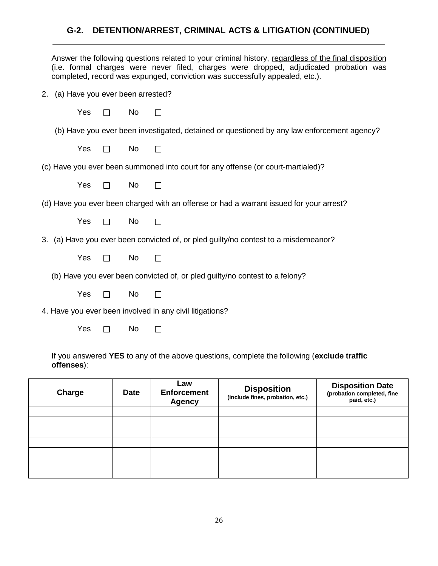## **G-2. DETENTION/ARREST, CRIMINAL ACTS & LITIGATION (CONTINUED)**

|                                     |              |    | Answer the following questions related to your criminal history, regardless of the final disposition<br>(i.e. formal charges were never filed, charges were dropped, adjudicated probation was<br>completed, record was expunged, conviction was successfully appealed, etc.). |
|-------------------------------------|--------------|----|--------------------------------------------------------------------------------------------------------------------------------------------------------------------------------------------------------------------------------------------------------------------------------|
| 2. (a) Have you ever been arrested? |              |    |                                                                                                                                                                                                                                                                                |
| Yes                                 |              | No | П                                                                                                                                                                                                                                                                              |
|                                     |              |    | (b) Have you ever been investigated, detained or questioned by any law enforcement agency?                                                                                                                                                                                     |
| Yes                                 |              | No |                                                                                                                                                                                                                                                                                |
|                                     |              |    | (c) Have you ever been summoned into court for any offense (or court-martialed)?                                                                                                                                                                                               |
| Yes                                 | $\Box$       | No |                                                                                                                                                                                                                                                                                |
|                                     |              |    | (d) Have you ever been charged with an offense or had a warrant issued for your arrest?                                                                                                                                                                                        |
| Yes                                 | П            | No | П                                                                                                                                                                                                                                                                              |
|                                     |              |    | 3. (a) Have you ever been convicted of, or pled guilty/no contest to a misdemeanor?                                                                                                                                                                                            |
| Yes                                 | $\perp$      | No |                                                                                                                                                                                                                                                                                |
|                                     |              |    | (b) Have you ever been convicted of, or pled guilty/no contest to a felony?                                                                                                                                                                                                    |
| Yes                                 |              | No |                                                                                                                                                                                                                                                                                |
|                                     |              |    | 4. Have you ever been involved in any civil litigations?                                                                                                                                                                                                                       |
| Yes                                 | $\mathsf{L}$ | No |                                                                                                                                                                                                                                                                                |
|                                     |              |    |                                                                                                                                                                                                                                                                                |

If you answered **YES** to any of the above questions, complete the following (**exclude traffic offenses**):

| Charge | <b>Date</b> | Law<br><b>Enforcement</b><br><b>Agency</b> | <b>Disposition</b><br>(include fines, probation, etc.) | <b>Disposition Date</b><br>(probation completed, fine<br>paid, etc.) |
|--------|-------------|--------------------------------------------|--------------------------------------------------------|----------------------------------------------------------------------|
|        |             |                                            |                                                        |                                                                      |
|        |             |                                            |                                                        |                                                                      |
|        |             |                                            |                                                        |                                                                      |
|        |             |                                            |                                                        |                                                                      |
|        |             |                                            |                                                        |                                                                      |
|        |             |                                            |                                                        |                                                                      |
|        |             |                                            |                                                        |                                                                      |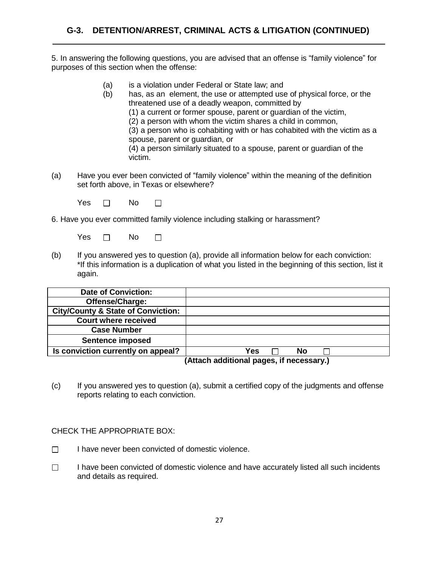5. In answering the following questions, you are advised that an offense is "family violence" for purposes of this section when the offense:

- (a) is a violation under Federal or State law; and
- (b) has, as an element, the use or attempted use of physical force, or the threatened use of a deadly weapon, committed by (1) a current or former spouse, parent or guardian of the victim,

(2) a person with whom the victim shares a child in common,

(3) a person who is cohabiting with or has cohabited with the victim as a spouse, parent or guardian, or

(4) a person similarly situated to a spouse, parent or guardian of the victim.

(a) Have you ever been convicted of "family violence" within the meaning of the definition set forth above, in Texas or elsewhere?

 $Yes \Box \qquad No$  $\Box$ 

6. Have you ever committed family violence including stalking or harassment?

Yes  $\Box$  No  $\Box$ 

(b) If you answered yes to question (a), provide all information below for each conviction: \*If this information is a duplication of what you listed in the beginning of this section, list it again.

| <b>Date of Conviction:</b>                    |     |    |  |
|-----------------------------------------------|-----|----|--|
| Offense/Charge:                               |     |    |  |
| <b>City/County &amp; State of Conviction:</b> |     |    |  |
| <b>Court where received</b>                   |     |    |  |
| <b>Case Number</b>                            |     |    |  |
| <b>Sentence imposed</b>                       |     |    |  |
| Is conviction currently on appeal?            | Yes | No |  |
|                                               |     |    |  |

**(Attach additional pages, if necessary.)**

(c) If you answered yes to question (a), submit a certified copy of the judgments and offense reports relating to each conviction.

CHECK THE APPROPRIATE BOX:

- I have never been convicted of domestic violence.  $\Box$
- $\Box$ I have been convicted of domestic violence and have accurately listed all such incidents and details as required.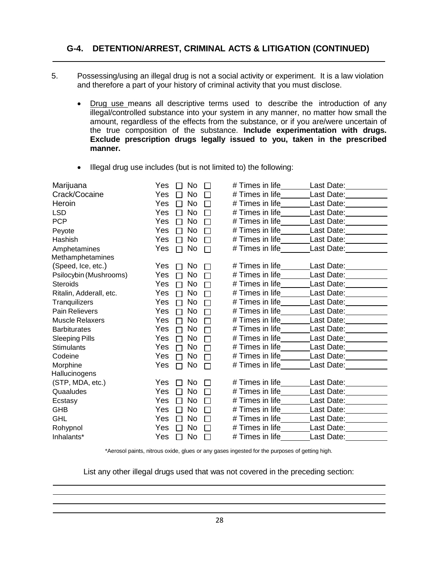### **G-4. DETENTION/ARREST, CRIMINAL ACTS & LITIGATION (CONTINUED)**

- 5. Possessing/using an illegal drug is not a social activity or experiment. It is a law violation and therefore a part of your history of criminal activity that you must disclose.
	- Drug use means all descriptive terms used to describe the introduction of any illegal/controlled substance into your system in any manner, no matter how small the amount, regardless of the effects from the substance, or if you are/were uncertain of the true composition of the substance. **Include experimentation with drugs. Exclude prescription drugs legally issued to you, taken in the prescribed manner.**
	- Illegal drug use includes (but is not limited to) the following:

| Marijuana               | Yes                   | No.       | # Times in life         | Last Date: Notelland Controller                                                                                                                                                                                                |
|-------------------------|-----------------------|-----------|-------------------------|--------------------------------------------------------------------------------------------------------------------------------------------------------------------------------------------------------------------------------|
| Crack/Cocaine           | Yes<br>$\mathsf{L}$   | <b>No</b> | # Times in life         | Last Date: 1988                                                                                                                                                                                                                |
| Heroin                  | Yes<br>$\mathsf{L}$   | <b>No</b> | # Times in life         | Last Date: Last Date:                                                                                                                                                                                                          |
| <b>LSD</b>              | Yes<br>$\mathbf{L}$   | <b>No</b> | # Times in life         | Last Date: Last Controllering                                                                                                                                                                                                  |
| <b>PCP</b>              | Yes                   | <b>No</b> | # Times in life__       | Last Date: Last Controllering                                                                                                                                                                                                  |
| Peyote                  | Yes<br>П              | <b>No</b> | # Times in life         | Last Date:<br><u>Last Date:</u>                                                                                                                                                                                                |
| Hashish                 | Yes                   | <b>No</b> | # Times in life         | Last Date: Last Date:                                                                                                                                                                                                          |
| Amphetamines            | Yes<br>П              | No        | # Times in life         | Last Date: Note that the set of the set of the set of the set of the set of the set of the set of the set of the set of the set of the set of the set of the set of the set of the set of the set of the set of the set of the |
| Methamphetamines        |                       |           |                         |                                                                                                                                                                                                                                |
| (Speed, Ice, etc.)      | Yes<br>$\mathsf{L}$   | No        | # Times in life         | Last Date: Last Date:                                                                                                                                                                                                          |
| Psilocybin (Mushrooms)  | Yes<br>$\mathbb{R}$   | No        | # Times in life____     | Last Date: Last Date:                                                                                                                                                                                                          |
| <b>Steroids</b>         | Yes<br>┍              | No        | # Times in life         | Last Date: _________                                                                                                                                                                                                           |
| Ritalin, Adderall, etc. | Yes<br>П              | No.       | # Times in life         | Last Date:                                                                                                                                                                                                                     |
| Tranquilizers           | Yes<br>г              | No.       | # Times in life____     | Last Date: Last Carrier Control                                                                                                                                                                                                |
| Pain Relievers          | Yes<br>Г              | No        | # Times in life         | Last Date: Notelland Controller                                                                                                                                                                                                |
| <b>Muscle Relaxers</b>  | Yes<br>┌              | <b>No</b> | # Times in life         | Last Date: 1988                                                                                                                                                                                                                |
| <b>Barbiturates</b>     | Yes<br>П              | <b>No</b> | # Times in life____     | Last Date: __________                                                                                                                                                                                                          |
| <b>Sleeping Pills</b>   | Yes<br>Г              | No.       | # Times in life________ | Last Date: Last Care Last Control                                                                                                                                                                                              |
| <b>Stimulants</b>       | Yes<br>П              | <b>No</b> | # Times in life___      | Last Date: <u>__________</u>                                                                                                                                                                                                   |
| Codeine                 | Yes<br>$\mathbf{L}$   | No        | # Times in life         | Last Date: _________                                                                                                                                                                                                           |
| Morphine                | Yes<br>П              | No        | # Times in life___      | Last Date: Last Date:                                                                                                                                                                                                          |
| Hallucinogens           |                       |           |                         |                                                                                                                                                                                                                                |
| (STP, MDA, etc.)        | Yes                   | No        | # Times in life_        | Last Date: Last Care and Last Date:                                                                                                                                                                                            |
| Quaaludes               | Yes<br>$\mathbb{R}^n$ | <b>No</b> | # Times in life         | Last Date: 1988                                                                                                                                                                                                                |
| Ecstasy                 | Yes<br>$\mathbf{L}$   | <b>No</b> | # Times in life         | Last Date: Last Correct Last Correct Last Out                                                                                                                                                                                  |
| <b>GHB</b>              | Yes<br>$\mathbf{L}$   | <b>No</b> | # Times in life         | Last Date: _________                                                                                                                                                                                                           |
| <b>GHL</b>              | Yes<br><b>COL</b>     | <b>No</b> | # Times in life         | Last Date: Last Care and Last Date:                                                                                                                                                                                            |
| Rohypnol                | Yes<br>$\mathbf{L}$   | No.       | # Times in life___      | Last Date: Last Date:                                                                                                                                                                                                          |
| Inhalants*              | Yes                   | No        | # Times in life         | Last Date:                                                                                                                                                                                                                     |

\*Aerosol paints, nitrous oxide, glues or any gases ingested for the purposes of getting high.

List any other illegal drugs used that was not covered in the preceding section: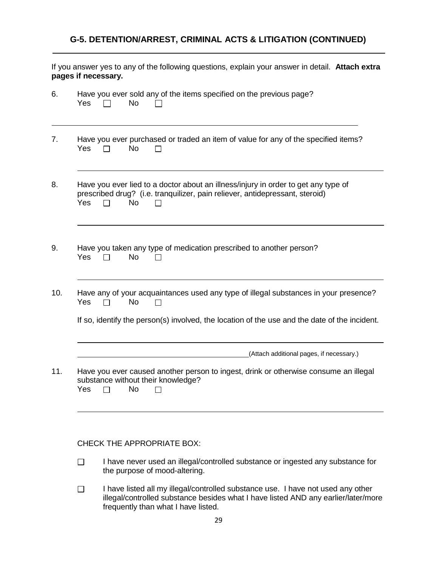## **G-5. DETENTION/ARREST, CRIMINAL ACTS & LITIGATION (CONTINUED)**

If you answer yes to any of the following questions, explain your answer in detail. **Attach extra pages if necessary.**

| 6.  | Have you ever sold any of the items specified on the previous page?<br>Yes<br><b>No</b>                                                                                                          |
|-----|--------------------------------------------------------------------------------------------------------------------------------------------------------------------------------------------------|
| 7.  | Have you ever purchased or traded an item of value for any of the specified items?<br>Yes<br><b>No</b>                                                                                           |
| 8.  | Have you ever lied to a doctor about an illness/injury in order to get any type of<br>prescribed drug? (i.e. tranquilizer, pain reliever, antidepressant, steroid)<br>Yes<br><b>No</b><br>$\Box$ |
| 9.  | Have you taken any type of medication prescribed to another person?<br><b>No</b><br>Yes                                                                                                          |
| 10. | Have any of your acquaintances used any type of illegal substances in your presence?<br><b>No</b><br>Yes                                                                                         |
|     | If so, identify the person(s) involved, the location of the use and the date of the incident.                                                                                                    |
|     | (Attach additional pages, if necessary.)                                                                                                                                                         |
| 11. | Have you ever caused another person to ingest, drink or otherwise consume an illegal<br>substance without their knowledge?<br>Yes<br><b>No</b><br>П                                              |
|     |                                                                                                                                                                                                  |

#### CHECK THE APPROPRIATE BOX:

- I have never used an illegal/controlled substance or ingested any substance for  $\Box$ the purpose of mood-altering.
- $\Box$ I have listed all my illegal/controlled substance use. I have not used any other illegal/controlled substance besides what I have listed AND any earlier/later/more frequently than what I have listed.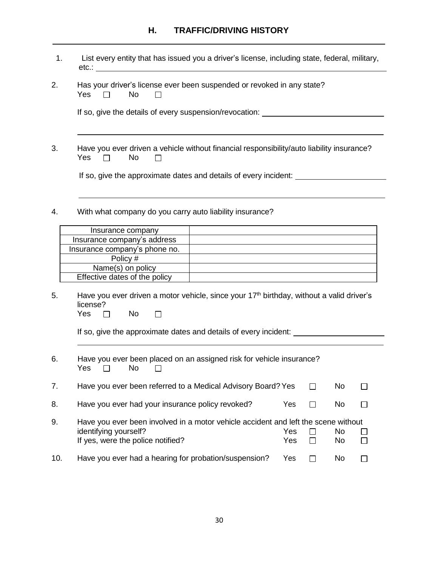## **H. TRAFFIC/DRIVING HISTORY**

| 1.                                                                                                    | List every entity that has issued you a driver's license, including state, federal, military,<br>etc.:                                                                     |  |  |  |  |  |  |  |
|-------------------------------------------------------------------------------------------------------|----------------------------------------------------------------------------------------------------------------------------------------------------------------------------|--|--|--|--|--|--|--|
| 2.<br>Has your driver's license ever been suspended or revoked in any state?<br>Yes<br><b>No</b><br>П |                                                                                                                                                                            |  |  |  |  |  |  |  |
|                                                                                                       | If so, give the details of every suspension/revocation: ________________________                                                                                           |  |  |  |  |  |  |  |
| 3.                                                                                                    | Have you ever driven a vehicle without financial responsibility/auto liability insurance?<br>Yes<br>No                                                                     |  |  |  |  |  |  |  |
|                                                                                                       | If so, give the approximate dates and details of every incident:                                                                                                           |  |  |  |  |  |  |  |
| 4.                                                                                                    | With what company do you carry auto liability insurance?                                                                                                                   |  |  |  |  |  |  |  |
|                                                                                                       | Insurance company                                                                                                                                                          |  |  |  |  |  |  |  |
|                                                                                                       | Insurance company's address                                                                                                                                                |  |  |  |  |  |  |  |
|                                                                                                       | Insurance company's phone no.                                                                                                                                              |  |  |  |  |  |  |  |
|                                                                                                       | Policy #                                                                                                                                                                   |  |  |  |  |  |  |  |
|                                                                                                       | Name(s) on policy                                                                                                                                                          |  |  |  |  |  |  |  |
|                                                                                                       | Effective dates of the policy                                                                                                                                              |  |  |  |  |  |  |  |
| 5.                                                                                                    | Have you ever driven a motor vehicle, since your 17 <sup>th</sup> birthday, without a valid driver's<br>license?<br><b>No</b><br>Yes<br>$\mathsf{L}$                       |  |  |  |  |  |  |  |
|                                                                                                       | If so, give the approximate dates and details of every incident:                                                                                                           |  |  |  |  |  |  |  |
| 6.                                                                                                    | Have you ever been placed on an assigned risk for vehicle insurance?<br>Yes<br>No<br>$\Box$                                                                                |  |  |  |  |  |  |  |
| 7.                                                                                                    | Have you ever been referred to a Medical Advisory Board? Yes<br>No                                                                                                         |  |  |  |  |  |  |  |
| 8.                                                                                                    | Have you ever had your insurance policy revoked?<br>Yes<br>No                                                                                                              |  |  |  |  |  |  |  |
| 9.                                                                                                    | Have you ever been involved in a motor vehicle accident and left the scene without<br>identifying yourself?<br>No<br>Yes<br>If yes, were the police notified?<br>Yes<br>No |  |  |  |  |  |  |  |
| 10.                                                                                                   | Have you ever had a hearing for probation/suspension?<br>Yes<br>No                                                                                                         |  |  |  |  |  |  |  |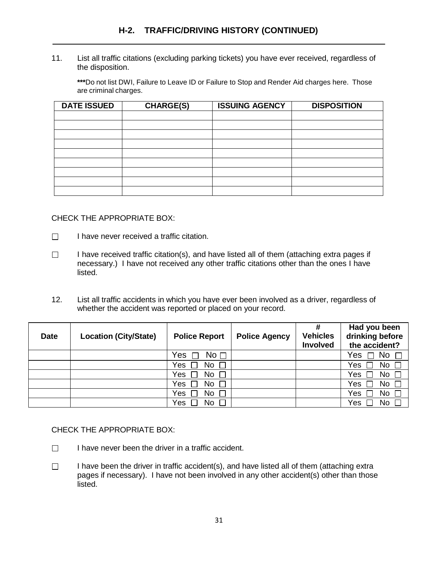11. List all traffic citations (excluding parking tickets) you have ever received, regardless of the disposition.

**\*\*\***Do not list DWI, Failure to Leave ID or Failure to Stop and Render Aid charges here. Those are criminal charges.

| <b>DATE ISSUED</b> | <b>CHARGE(S)</b> | <b>ISSUING AGENCY</b> | <b>DISPOSITION</b> |
|--------------------|------------------|-----------------------|--------------------|
|                    |                  |                       |                    |
|                    |                  |                       |                    |
|                    |                  |                       |                    |
|                    |                  |                       |                    |
|                    |                  |                       |                    |
|                    |                  |                       |                    |
|                    |                  |                       |                    |
|                    |                  |                       |                    |
|                    |                  |                       |                    |

#### CHECK THE APPROPRIATE BOX:

- $\Box$ I have never received a traffic citation.
- $\Box$ I have received traffic citation(s), and have listed all of them (attaching extra pages if necessary.) I have not received any other traffic citations other than the ones I have listed.
- 12. List all traffic accidents in which you have ever been involved as a driver, regardless of whether the accident was reported or placed on your record.

| <b>Date</b> | <b>Location (City/State)</b> | <b>Police Report</b>   | <b>Police Agency</b> | #<br><b>Vehicles</b><br>Involved | Had you been<br>drinking before<br>the accident? |
|-------------|------------------------------|------------------------|----------------------|----------------------------------|--------------------------------------------------|
|             |                              | No <sub>1</sub><br>Yes |                      |                                  | No $\square$<br>Yes                              |
|             |                              | No $\square$<br>Yes    |                      |                                  | No $\square$<br>Yes                              |
|             |                              | No<br>Yes              |                      |                                  | Yes<br>No.                                       |
|             |                              | No<br>Yes              |                      |                                  | Yes<br>No                                        |
|             |                              | No<br>Yes              |                      |                                  | Yes<br>No                                        |
|             |                              | No<br>Yes              |                      |                                  | Yes<br>No                                        |

#### CHECK THE APPROPRIATE BOX:

- I have never been the driver in a traffic accident.  $\Box$
- I have been the driver in traffic accident(s), and have listed all of them (attaching extra  $\Box$ pages if necessary). I have not been involved in any other accident(s) other than those listed.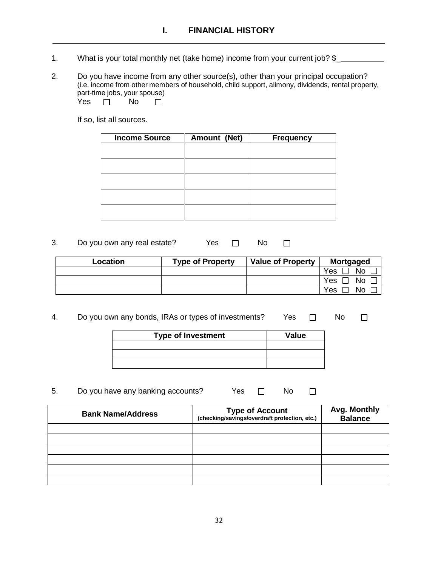- 1. What is your total monthly net (take home) income from your current job? \$\_
- 2. Do you have income from any other source(s), other than your principal occupation? (i.e. income from other members of household, child support, alimony, dividends, rental property, part-time jobs, your spouse) Yes  $\Box$  No  $\Box$

If so, list all sources.

| <b>Income Source</b> | Amount (Net) | <b>Frequency</b> |
|----------------------|--------------|------------------|
|                      |              |                  |
|                      |              |                  |
|                      |              |                  |
|                      |              |                  |
|                      |              |                  |
|                      |              |                  |
|                      |              |                  |
|                      |              |                  |

3. Do you own any real estate? Yes  $\Box$  No  $\Box$ 

| Location | <b>Type of Property</b> | <b>Value of Property</b> | <b>Mortgaged</b> |
|----------|-------------------------|--------------------------|------------------|
|          |                         |                          | No<br>Yes        |
|          |                         |                          | Yes<br>No        |
|          |                         |                          | Yes<br>No        |

4. Do you own any bonds, IRAs or types of investments? Yes  $\Box$  No  $\Box$ 

| <b>Type of Investment</b> | Value |
|---------------------------|-------|
|                           |       |
|                           |       |
|                           |       |

5. Do you have any banking accounts? Yes  $\Box$  No  $\Box$ 

| <b>Bank Name/Address</b> | <b>Type of Account</b><br>(checking/savings/overdraft protection, etc.) | Avg. Monthly<br><b>Balance</b> |
|--------------------------|-------------------------------------------------------------------------|--------------------------------|
|                          |                                                                         |                                |
|                          |                                                                         |                                |
|                          |                                                                         |                                |
|                          |                                                                         |                                |
|                          |                                                                         |                                |
|                          |                                                                         |                                |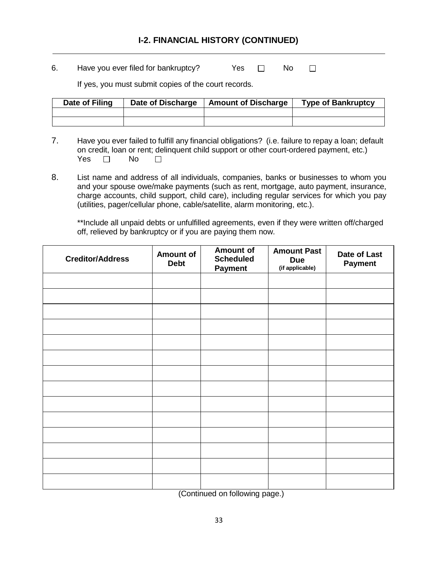### **I-2. FINANCIAL HISTORY (CONTINUED)**

6. Have you ever filed for bankruptcy?  $Yes \Box \Box$  No  $\Box$ 

If yes, you must submit copies of the court records.

| Date of Filing | Date of Discharge | <b>Amount of Discharge</b> | <b>Type of Bankruptcy</b> |
|----------------|-------------------|----------------------------|---------------------------|
|                |                   |                            |                           |
|                |                   |                            |                           |

- 7. Have you ever failed to fulfill any financial obligations? (i.e. failure to repay a loan; default on credit, loan or rent; delinquent child support or other court-ordered payment, etc.) Yes  $\Box$  No  $\Box$
- 8. List name and address of all individuals, companies, banks or businesses to whom you and your spouse owe/make payments (such as rent, mortgage, auto payment, insurance, charge accounts, child support, child care), including regular services for which you pay (utilities, pager/cellular phone, cable/satellite, alarm monitoring, etc.).

\*\*Include all unpaid debts or unfulfilled agreements, even if they were written off/charged off, relieved by bankruptcy or if you are paying them now.

| <b>Creditor/Address</b> | <b>Amount of</b><br><b>Debt</b> | Amount of<br><b>Scheduled</b><br><b>Payment</b> | <b>Amount Past</b><br><b>Due</b><br>(if applicable) | Date of Last<br>Payment |
|-------------------------|---------------------------------|-------------------------------------------------|-----------------------------------------------------|-------------------------|
|                         |                                 |                                                 |                                                     |                         |
|                         |                                 |                                                 |                                                     |                         |
|                         |                                 |                                                 |                                                     |                         |
|                         |                                 |                                                 |                                                     |                         |
|                         |                                 |                                                 |                                                     |                         |
|                         |                                 |                                                 |                                                     |                         |
|                         |                                 |                                                 |                                                     |                         |
|                         |                                 |                                                 |                                                     |                         |
|                         |                                 |                                                 |                                                     |                         |
|                         |                                 |                                                 |                                                     |                         |
|                         |                                 |                                                 |                                                     |                         |
|                         |                                 |                                                 |                                                     |                         |
|                         |                                 |                                                 |                                                     |                         |
|                         |                                 |                                                 |                                                     |                         |

(Continued on following page.)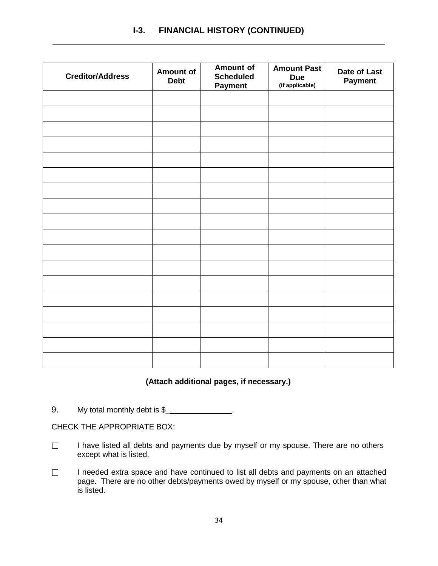## **I-3. FINANCIAL HISTORY (CONTINUED)**

| <b>Creditor/Address</b> | Amount of<br><b>Debt</b> | Amount of<br><b>Scheduled</b><br><b>Payment</b> | <b>Amount Past</b><br><b>Due</b><br>(if applicable) | Date of Last<br>Payment |
|-------------------------|--------------------------|-------------------------------------------------|-----------------------------------------------------|-------------------------|
|                         |                          |                                                 |                                                     |                         |
|                         |                          |                                                 |                                                     |                         |
|                         |                          |                                                 |                                                     |                         |
|                         |                          |                                                 |                                                     |                         |
|                         |                          |                                                 |                                                     |                         |
|                         |                          |                                                 |                                                     |                         |
|                         |                          |                                                 |                                                     |                         |
|                         |                          |                                                 |                                                     |                         |
|                         |                          |                                                 |                                                     |                         |
|                         |                          |                                                 |                                                     |                         |
|                         |                          |                                                 |                                                     |                         |
|                         |                          |                                                 |                                                     |                         |
|                         |                          |                                                 |                                                     |                         |
|                         |                          |                                                 |                                                     |                         |
|                         |                          |                                                 |                                                     |                         |
|                         |                          |                                                 |                                                     |                         |
|                         |                          |                                                 |                                                     |                         |

#### **(Attach additional pages, if necessary.)**

9. My total monthly debt is \$

CHECK THE APPROPRIATE BOX:

- $\Box$ I have listed all debts and payments due by myself or my spouse. There are no others except what is listed.
- I needed extra space and have continued to list all debts and payments on an attached  $\Box$ page. There are no other debts/payments owed by myself or my spouse, other than what is listed.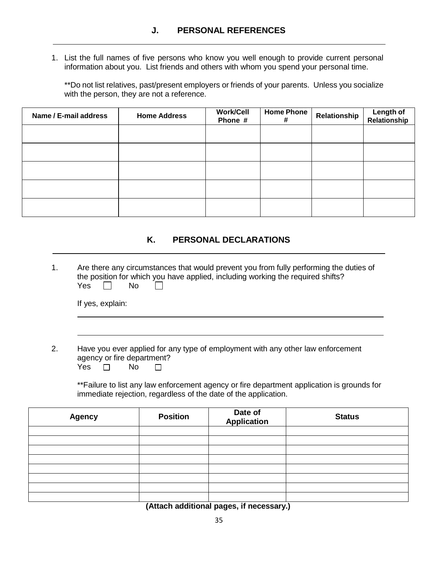1. List the full names of five persons who know you well enough to provide current personal information about you. List friends and others with whom you spend your personal time.

\*\*Do not list relatives, past/present employers or friends of your parents. Unless you socialize with the person, they are not a reference.

| Name / E-mail address | <b>Home Address</b> | <b>Work/Cell</b><br>Phone # | <b>Home Phone</b><br># | Relationship | Length of<br>Relationship |
|-----------------------|---------------------|-----------------------------|------------------------|--------------|---------------------------|
|                       |                     |                             |                        |              |                           |
|                       |                     |                             |                        |              |                           |
|                       |                     |                             |                        |              |                           |
|                       |                     |                             |                        |              |                           |
|                       |                     |                             |                        |              |                           |

#### **K. PERSONAL DECLARATIONS**

1. Are there any circumstances that would prevent you from fully performing the duties of the position for which you have applied, including working the required shifts?  $Yes \Box No$  $\Box$ 

If yes, explain:

2. Have you ever applied for any type of employment with any other law enforcement agency or fire department?

| Nο |
|----|
|    |

\*\*Failure to list any law enforcement agency or fire department application is grounds for immediate rejection, regardless of the date of the application.

| <b>Agency</b> | <b>Position</b> | Date of<br>Application | <b>Status</b> |
|---------------|-----------------|------------------------|---------------|
|               |                 |                        |               |
|               |                 |                        |               |
|               |                 |                        |               |
|               |                 |                        |               |
|               |                 |                        |               |
|               |                 |                        |               |
|               |                 |                        |               |
|               |                 |                        |               |

**(Attach additional pages, if necessary.)**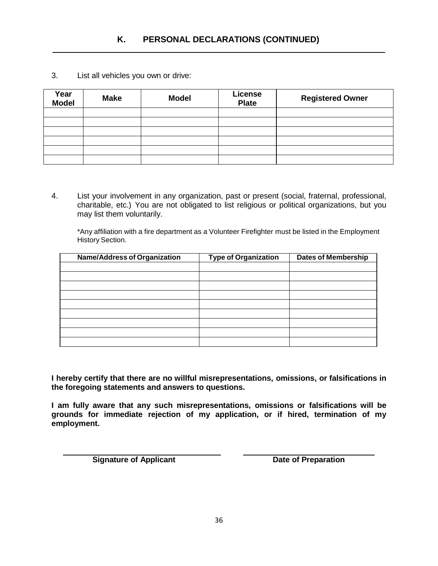3. List all vehicles you own or drive:

| Year<br><b>Model</b> | <b>Make</b> | <b>Model</b> | License<br><b>Plate</b> | <b>Registered Owner</b> |
|----------------------|-------------|--------------|-------------------------|-------------------------|
|                      |             |              |                         |                         |
|                      |             |              |                         |                         |
|                      |             |              |                         |                         |
|                      |             |              |                         |                         |
|                      |             |              |                         |                         |
|                      |             |              |                         |                         |

4. List your involvement in any organization, past or present (social, fraternal, professional, charitable, etc.) You are not obligated to list religious or political organizations, but you may list them voluntarily.

\*Any affiliation with a fire department as a Volunteer Firefighter must be listed in the Employment History Section.

| <b>Name/Address of Organization</b> | <b>Type of Organization</b> | <b>Dates of Membership</b> |
|-------------------------------------|-----------------------------|----------------------------|
|                                     |                             |                            |
|                                     |                             |                            |
|                                     |                             |                            |
|                                     |                             |                            |
|                                     |                             |                            |
|                                     |                             |                            |
|                                     |                             |                            |
|                                     |                             |                            |
|                                     |                             |                            |

**I hereby certify that there are no willful misrepresentations, omissions, or falsifications in the foregoing statements and answers to questions.**

**I am fully aware that any such misrepresentations, omissions or falsifications will be grounds for immediate rejection of my application, or if hired, termination of my employment.**

**Signature of Applicant Date of Preparation**